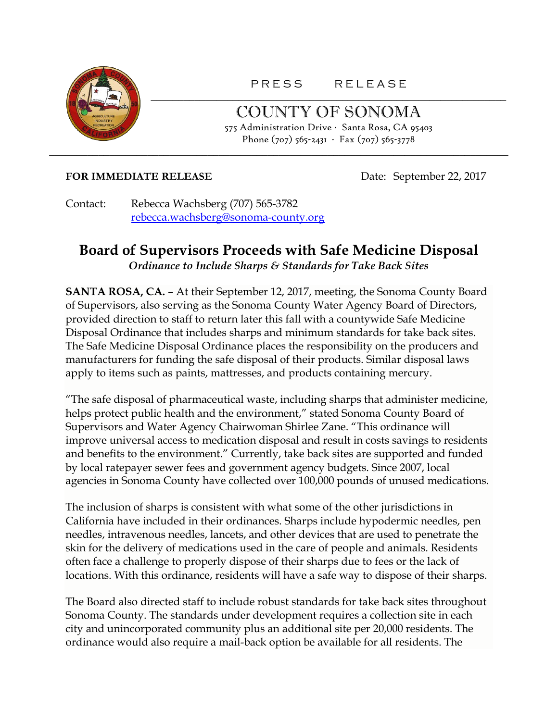

PRESS RELEASE \_\_\_\_\_\_\_\_\_\_\_\_\_\_\_\_\_\_\_\_\_\_\_\_\_\_\_\_\_\_\_\_\_\_\_\_\_\_\_\_\_\_\_\_\_\_\_\_\_\_\_\_\_\_\_\_\_\_\_\_\_\_\_\_\_

> COUNTY OF SONOMA 575 Administration Drive ∙ Santa Rosa, CA 95403 Phone (707) 565-2431 ∙ Fax (707) 565-3778

## **FOR IMMEDIATE RELEASE** Date: September 22, 2017

Contact: Rebecca Wachsberg (707) 565-3782 [rebecca.wachsberg@sonoma-county.org](mailto:rebecca.wachsberg@sonoma-county.org)

## **Board of Supervisors Proceeds with Safe Medicine Disposal**  *Ordinance to Include Sharps & Standards for Take Back Sites*

\_\_\_\_\_\_\_\_\_\_\_\_\_\_\_\_\_\_\_\_\_\_\_\_\_\_\_\_\_\_\_\_\_\_\_\_\_\_\_\_\_\_\_\_\_\_\_\_\_\_\_\_\_\_\_\_\_\_\_\_\_\_\_\_\_\_\_\_\_\_\_\_\_\_\_\_\_\_\_\_\_\_\_\_

**SANTA ROSA, CA.** – At their September 12, 2017, meeting, the Sonoma County Board of Supervisors, also serving as the Sonoma County Water Agency Board of Directors, provided direction to staff to return later this fall with a countywide Safe Medicine Disposal Ordinance that includes sharps and minimum standards for take back sites. The Safe Medicine Disposal Ordinance places the responsibility on the producers and manufacturers for funding the safe disposal of their products. Similar disposal laws apply to items such as paints, mattresses, and products containing mercury.

"The safe disposal of pharmaceutical waste, including sharps that administer medicine, helps protect public health and the environment," stated Sonoma County Board of Supervisors and Water Agency Chairwoman Shirlee Zane. "This ordinance will improve universal access to medication disposal and result in costs savings to residents and benefits to the environment." Currently, take back sites are supported and funded by local ratepayer sewer fees and government agency budgets. Since 2007, local agencies in Sonoma County have collected over 100,000 pounds of unused medications.

The inclusion of sharps is consistent with what some of the other jurisdictions in California have included in their ordinances. Sharps include hypodermic needles, pen needles, intravenous needles, lancets, and other devices that are used to penetrate the skin for the delivery of medications used in the care of people and animals. Residents often face a challenge to properly dispose of their sharps due to fees or the lack of locations. With this ordinance, residents will have a safe way to dispose of their sharps.

The Board also directed staff to include robust standards for take back sites throughout Sonoma County. The standards under development requires a collection site in each city and unincorporated community plus an additional site per 20,000 residents. The ordinance would also require a mail-back option be available for all residents. The